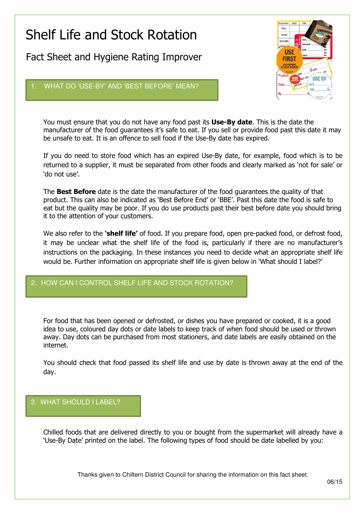# Shelf Life and Stock Rotation

Fact Sheet and Hygiene Rating Improver



## WHAT DO 'USE-BY' AND 'BEST BEFORE' MEAN?

You must ensure that you do not have any food past its **Use-By date**. This is the date the manufacturer of the food guarantees it's safe to eat. If you sell or provide food past this date it may be unsafe to eat. It is an offence to sell food if the Use-By date has expired.

If you do need to store food which has an expired Use-By date, for example, food which is to be returned to a supplier, it must be separated from other foods and clearly marked as 'not for sale' or 'do not use'.

The **Best Before** date is the date the manufacturer of the food quarantees the quality of that product. This can also be indicated as 'Best Before End' or 'BBE'. Past this date the food is safe to eat but the quality may be poor. If you do use products past their best before date you should bring it to the attention of your customers.

We also refer to the 'shelf life' of food. If you prepare food, open pre-packed food, or defrost food, it may be unclear what the shelf life of the food is, particularly if there are no manufacturer's instructions on the packaging. In these instances you need to decide what an appropriate shelf life would be. Further information on appropriate shelf life is given below in 'What should I label?'

# HOW CAN I CONTROL SHELF LIFE AND STOCK ROTATION?

For food that has been opened or defrosted, or dishes you have prepared or cooked, it is a good idea to use, coloured day dots or date labels to keep track of when food should be used or thrown away. Day dots can be purchased from most stationers, and date labels are easily obtained on the internet.

You should check that food passed its shelf life and use by date is thrown away at the end of the day.

## 3. WHAT SHOULD I LABEL?

Chilled foods that are delivered directly to you or bought from the supermarket will already have a 'Use-By Date' printed on the label. The following types of food should be date labelled by you:

Thanks given to Chiltern District Council for sharing the information on this fact sheet.